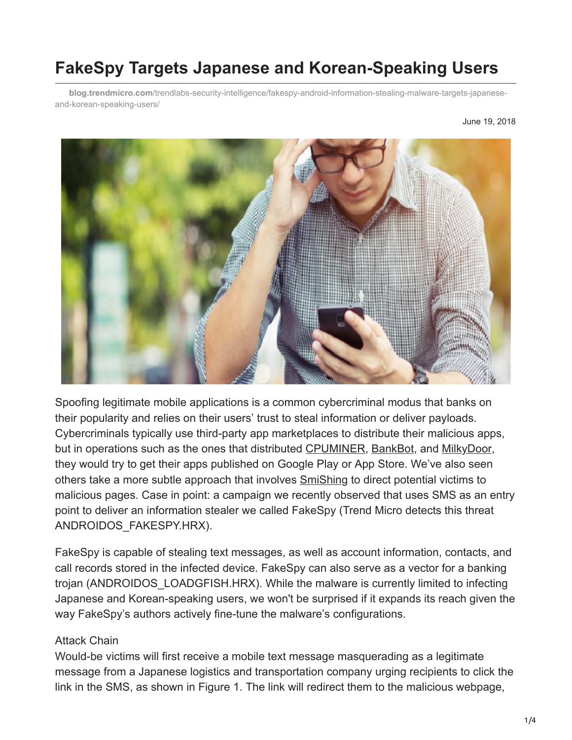# **FakeSpy Targets Japanese and Korean-Speaking Users**

**blog.trendmicro.com**[/trendlabs-security-intelligence/fakespy-android-information-stealing-malware-targets-japanese](https://blog.trendmicro.com/trendlabs-security-intelligence/fakespy-android-information-stealing-malware-targets-japanese-and-korean-speaking-users/)and-korean-speaking-users/



Spoofing legitimate mobile applications is a common cybercriminal modus that banks on their popularity and relies on their users' trust to steal information or deliver payloads. Cybercriminals typically use third-party app marketplaces to distribute their malicious apps, but in operations such as the ones that distributed [CPUMINER,](https://blog.trendmicro.com/en_us/research/17/j/coin-miner-mobile-malware-returns-hits-google-play.html) [BankBot](https://blog.trendmicro.com/en_us/research/17/i/bankbot-found-google-play-targets-ten-new-uae-banking-apps.html), and [MilkyDoor](https://blog.trendmicro.com/en_us/research/17/d/dresscode-android-malware-finds-successor-milkydoor.html), they would try to get their apps published on Google Play or App Store. We've also seen others take a more subtle approach that involves [SmiShing](https://www.trendmicro.com/vinfo/tmr/?/us/security/definition/smishing) to direct potential victims to malicious pages. Case in point: a campaign we recently observed that uses SMS as an entry point to deliver an information stealer we called FakeSpy (Trend Micro detects this threat ANDROIDOS\_FAKESPY.HRX).

FakeSpy is capable of stealing text messages, as well as account information, contacts, and call records stored in the infected device. FakeSpy can also serve as a vector for a banking trojan (ANDROIDOS\_LOADGFISH.HRX). While the malware is currently limited to infecting Japanese and Korean-speaking users, we won't be surprised if it expands its reach given the way FakeSpy's authors actively fine-tune the malware's configurations.

#### Attack Chain

Would-be victims will first receive a mobile text message masquerading as a legitimate message from a Japanese logistics and transportation company urging recipients to click the link in the SMS, as shown in Figure 1. The link will redirect them to the malicious webpage,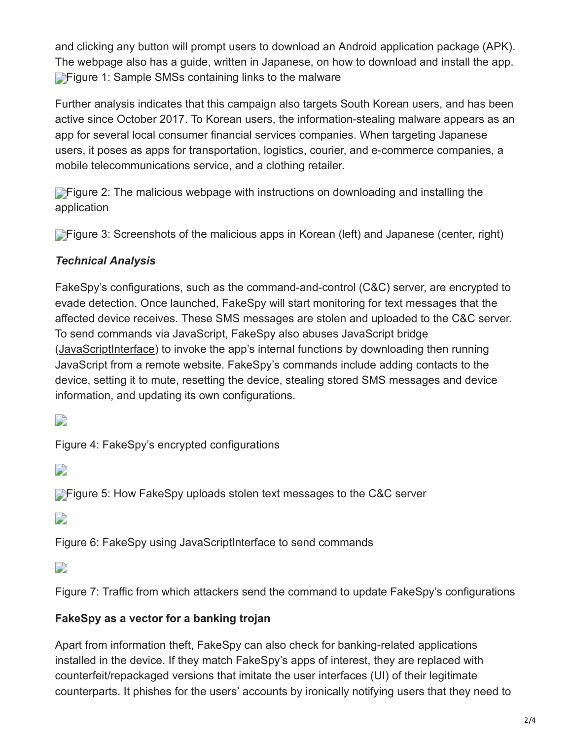and clicking any button will prompt users to download an Android application package (APK). The webpage also has a guide, written in Japanese, on how to download and install the app. **[F](https://blog.trendmicro.com/content/dam/trendmicro/global/en/migrated/security-intelligence-migration-spreadsheet/trendlabs-security-intelligence/2018/06/figure-1.png)igure 1: Sample SMSs containing links to the malware** 

Further analysis indicates that this campaign also targets South Korean users, and has been active since October 2017. To Korean users, the information-stealing malware appears as an app for several local consumer financial services companies. When targeting Japanese users, it poses as apps for transportation, logistics, courier, and e-commerce companies, a mobile telecommunications service, and a clothing retailer.

**[F](https://blog.trendmicro.com/content/dam/trendmicro/global/en/migrated/security-intelligence-migration-spreadsheet/trendlabs-security-intelligence/2018/06/figure-2.png)igure 2: The malicious webpage with instructions on downloading and installing the** application

**[F](https://blog.trendmicro.com/content/dam/trendmicro/global/en/migrated/security-intelligence-migration-spreadsheet/trendlabs-security-intelligence/2018/06/figure-3.png)igure 3: Screenshots of the malicious apps in Korean (left) and Japanese (center, right)** 

#### *Technical Analysis*

FakeSpy's configurations, such as the command-and-control (C&C) server, are encrypted to evade detection. Once launched, FakeSpy will start monitoring for text messages that the affected device receives. These SMS messages are stolen and uploaded to the C&C server. To send commands via JavaScript, FakeSpy also abuses JavaScript bridge ([JavaScriptInterface\)](https://developer.android.com/reference/android/webkit/JavascriptInterface) to invoke the app's internal functions by downloading then running JavaScript from a remote website. FakeSpy's commands include adding contacts to the device, setting it to mute, resetting the device, stealing stored SMS messages and device information, and updating its own configurations.

 $\overline{\phantom{a}}$ 

Figure 4: FakeSpy's encrypted configurations

 $\overline{\phantom{a}}$ 

**[F](https://blog.trendmicro.com/content/dam/trendmicro/global/en/migrated/security-intelligence-migration-spreadsheet/trendlabs-security-intelligence/2018/06/figure-5-2.png)igure 5: How FakeSpy uploads stolen text messages to the C&C server** 

 $\overline{\phantom{a}}$ 

Figure 6: FakeSpy using JavaScriptInterface to send commands

 $\overline{\phantom{a}}$ 

Figure 7: Traffic from which attackers send the command to update FakeSpy's configurations

#### **FakeSpy as a vector for a banking trojan**

Apart from information theft, FakeSpy can also check for banking-related applications installed in the device. If they match FakeSpy's apps of interest, they are replaced with counterfeit/repackaged versions that imitate the user interfaces (UI) of their legitimate counterparts. It phishes for the users' accounts by ironically notifying users that they need to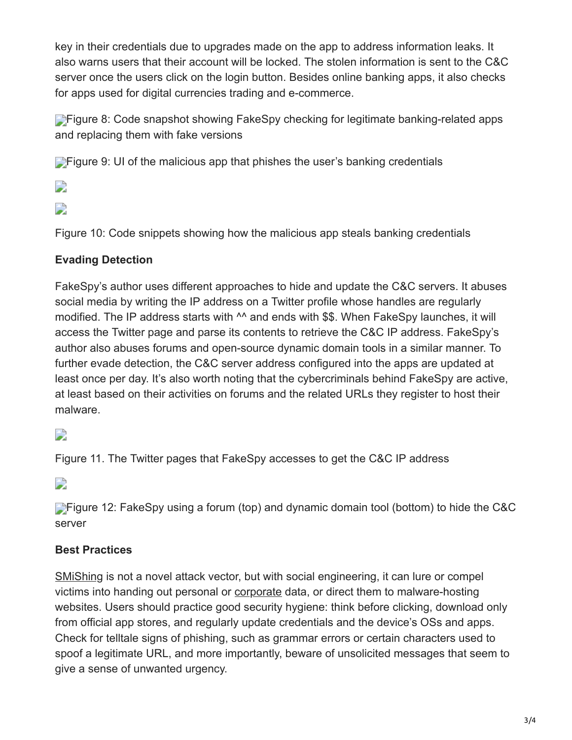key in their credentials due to upgrades made on the app to address information leaks. It also warns users that their account will be locked. The stolen information is sent to the C&C server once the users click on the login button. Besides online banking apps, it also checks for apps used for digital currencies trading and e-commerce.

**[F](https://blog.trendmicro.com/content/dam/trendmicro/global/en/migrated/security-intelligence-migration-spreadsheet/trendlabs-security-intelligence/2018/06/figure-8.png)igure 8: Code snapshot showing FakeSpy checking for legitimate banking-related apps** and replacing them with fake versions

**[F](https://blog.trendmicro.com/content/dam/trendmicro/global/en/migrated/security-intelligence-migration-spreadsheet/trendlabs-security-intelligence/2018/06/figure-9.png)igure 9: UI of the malicious app that phishes the user's banking credentials** 

 $\overline{\phantom{a}}$ 

### D

Figure 10: Code snippets showing how the malicious app steals banking credentials

#### **Evading Detection**

FakeSpy's author uses different approaches to hide and update the C&C servers. It abuses social media by writing the IP address on a Twitter profile whose handles are regularly modified. The IP address starts with ^^ and ends with \$\$. When FakeSpy launches, it will access the Twitter page and parse its contents to retrieve the C&C IP address. FakeSpy's author also abuses forums and open-source dynamic domain tools in a similar manner. To further evade detection, the C&C server address configured into the apps are updated at least once per day. It's also worth noting that the cybercriminals behind FakeSpy are active, at least based on their activities on forums and the related URLs they register to host their malware.

## $\overline{\phantom{a}}$

Figure 11. The Twitter pages that FakeSpy accesses to get the C&C IP address

 $\Box$ 

**[F](https://blog.trendmicro.com/content/dam/trendmicro/global/en/migrated/security-intelligence-migration-spreadsheet/trendlabs-security-intelligence/2018/06/figure-12-2.png)igure 12: FakeSpy using a forum (top) and dynamic domain tool (bottom) to hide the C&C** server

#### **Best Practices**

[SMiShing](https://www.nbcdfw.com/news/local/Smishing-is-the-New-Cyber-Scam-that-Targets-Your-Text-Messages-432634773.html?linkId=39427288) is not a novel attack vector, but with social engineering, it can lure or compel victims into handing out personal or [corporate](https://www.trendmicro.com/vinfo/tmr/?/us/security/news/cybercrime-and-digital-threats/-infosec-guide-bring-your-own-device-byod) data, or direct them to malware-hosting websites. Users should practice good security hygiene: think before clicking, download only from official app stores, and regularly update credentials and the device's OSs and apps. Check for telltale signs of phishing, such as grammar errors or certain characters used to spoof a legitimate URL, and more importantly, beware of unsolicited messages that seem to give a sense of unwanted urgency.